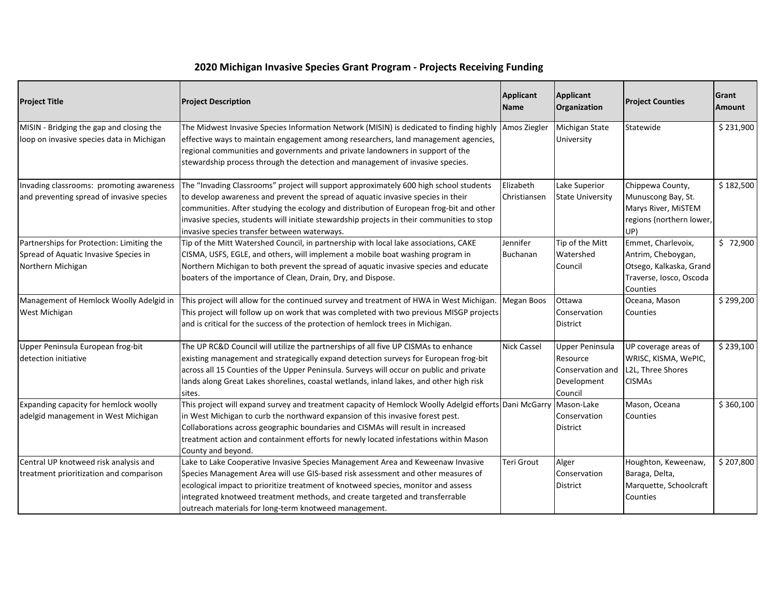| 2020 Michigan Invasive Species Grant Program - Projects Receiving Funding |  |  |
|---------------------------------------------------------------------------|--|--|
|---------------------------------------------------------------------------|--|--|

| <b>Project Title</b>                                                                                    | <b>Project Description</b>                                                                                                                                                                                                                                                                                                                                                                                         | Applicant<br><b>Name</b>  | Applicant<br>Organization                                                 | <b>Project Counties</b>                                                                                    | Grant<br><b>Amount</b> |
|---------------------------------------------------------------------------------------------------------|--------------------------------------------------------------------------------------------------------------------------------------------------------------------------------------------------------------------------------------------------------------------------------------------------------------------------------------------------------------------------------------------------------------------|---------------------------|---------------------------------------------------------------------------|------------------------------------------------------------------------------------------------------------|------------------------|
| MISIN - Bridging the gap and closing the<br>loop on invasive species data in Michigan                   | The Midwest Invasive Species Information Network (MISIN) is dedicated to finding highly<br>effective ways to maintain engagement among researchers, land management agencies,<br>regional communities and governments and private landowners in support of the<br>stewardship process through the detection and management of invasive species.                                                                    | Amos Ziegler              | Michigan State<br>University                                              | Statewide                                                                                                  | \$231,900              |
| Invading classrooms: promoting awareness<br>and preventing spread of invasive species                   | The "Invading Classrooms" project will support approximately 600 high school students<br>to develop awareness and prevent the spread of aquatic invasive species in their<br>communities. After studying the ecology and distribution of European frog-bit and other<br>invasive species, students will initiate stewardship projects in their communities to stop<br>invasive species transfer between waterways. | Elizabeth<br>Christiansen | Lake Superior<br><b>State University</b>                                  | Chippewa County,<br>Munuscong Bay, St.<br>Marys River, MiSTEM<br>regions (northern lower,<br>UP)           | \$182,500              |
| Partnerships for Protection: Limiting the<br>Spread of Aquatic Invasive Species in<br>Northern Michigan | Tip of the Mitt Watershed Council, in partnership with local lake associations, CAKE<br>CISMA, USFS, EGLE, and others, will implement a mobile boat washing program in<br>Northern Michigan to both prevent the spread of aquatic invasive species and educate<br>boaters of the importance of Clean, Drain, Dry, and Dispose.                                                                                     | Jennifer<br>Buchanan      | Tip of the Mitt<br>Watershed<br>Council                                   | Emmet, Charlevoix,<br>Antrim, Cheboygan,<br>Otsego, Kalkaska, Grand<br>Traverse, Iosco, Oscoda<br>Counties | \$72,900               |
| Management of Hemlock Woolly Adelgid in<br>West Michigan                                                | This project will allow for the continued survey and treatment of HWA in West Michigan.<br>This project will follow up on work that was completed with two previous MISGP projects<br>and is critical for the success of the protection of hemlock trees in Michigan.                                                                                                                                              | Megan Boos                | Ottawa<br>Conservation<br><b>District</b>                                 | Oceana, Mason<br>Counties                                                                                  | \$299,200              |
| Upper Peninsula European frog-bit<br>detection initiative                                               | The UP RC&D Council will utilize the partnerships of all five UP CISMAs to enhance<br>existing management and strategically expand detection surveys for European frog-bit<br>across all 15 Counties of the Upper Peninsula. Surveys will occur on public and private<br>lands along Great Lakes shorelines, coastal wetlands, inland lakes, and other high risk<br>sites.                                         | <b>Nick Cassel</b>        | Upper Peninsula<br>Resource<br>Conservation and<br>Development<br>Council | UP coverage areas of<br>WRISC, KISMA, WePIC,<br>L2L, Three Shores<br><b>CISMAs</b>                         | \$239,100              |
| Expanding capacity for hemlock woolly<br>adelgid management in West Michigan                            | This project will expand survey and treatment capacity of Hemlock Woolly Adelgid efforts Dani McGarry<br>in West Michigan to curb the northward expansion of this invasive forest pest.<br>Collaborations across geographic boundaries and CISMAs will result in increased<br>treatment action and containment efforts for newly located infestations within Mason<br>County and beyond.                           |                           | Mason-Lake<br>Conservation<br><b>District</b>                             | Mason, Oceana<br>Counties                                                                                  | \$360,100              |
| Central UP knotweed risk analysis and<br>treatment prioritization and comparison                        | Lake to Lake Cooperative Invasive Species Management Area and Keweenaw Invasive<br>Species Management Area will use GIS-based risk assessment and other measures of<br>ecological impact to prioritize treatment of knotweed species, monitor and assess<br>integrated knotweed treatment methods, and create targeted and transferrable<br>outreach materials for long-term knotweed management.                  | Teri Grout                | Alger<br>Conservation<br><b>District</b>                                  | Houghton, Keweenaw,<br>Baraga, Delta,<br>Marquette, Schoolcraft<br>Counties                                | \$207,800              |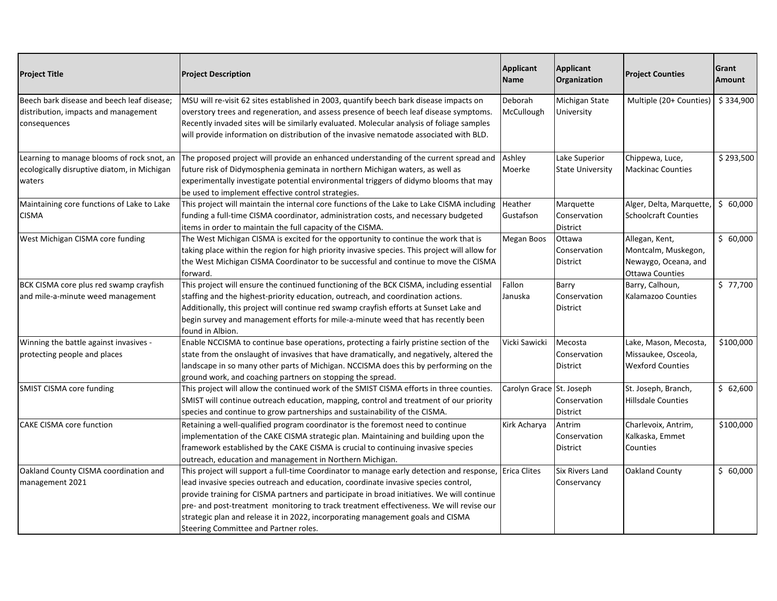| <b>Project Title</b>                                                                                | <b>Project Description</b>                                                                                                                                                                                                                                                                                                                                                                                                                                                                           | Applicant<br><b>Name</b> | Applicant<br>Organization                  | <b>Project Counties</b>                                                                 | <b>Grant</b><br>Amount |
|-----------------------------------------------------------------------------------------------------|------------------------------------------------------------------------------------------------------------------------------------------------------------------------------------------------------------------------------------------------------------------------------------------------------------------------------------------------------------------------------------------------------------------------------------------------------------------------------------------------------|--------------------------|--------------------------------------------|-----------------------------------------------------------------------------------------|------------------------|
| Beech bark disease and beech leaf disease;<br>distribution, impacts and management<br>consequences  | MSU will re-visit 62 sites established in 2003, quantify beech bark disease impacts on<br>overstory trees and regeneration, and assess presence of beech leaf disease symptoms.<br>Recently invaded sites will be similarly evaluated. Molecular analysis of foliage samples<br>will provide information on distribution of the invasive nematode associated with BLD.                                                                                                                               | Deborah<br>McCullough    | Michigan State<br>University               | Multiple (20+ Counties)                                                                 | \$334,900              |
| Learning to manage blooms of rock snot, an<br>ecologically disruptive diatom, in Michigan<br>waters | The proposed project will provide an enhanced understanding of the current spread and<br>future risk of Didymosphenia geminata in northern Michigan waters, as well as<br>experimentally investigate potential environmental triggers of didymo blooms that may<br>be used to implement effective control strategies.                                                                                                                                                                                | Ashley<br>Moerke         | Lake Superior<br><b>State University</b>   | Chippewa, Luce,<br><b>Mackinac Counties</b>                                             | \$293,500              |
| Maintaining core functions of Lake to Lake<br><b>CISMA</b>                                          | This project will maintain the internal core functions of the Lake to Lake CISMA including<br>funding a full-time CISMA coordinator, administration costs, and necessary budgeted<br>items in order to maintain the full capacity of the CISMA.                                                                                                                                                                                                                                                      | Heather<br>Gustafson     | Marquette<br>Conservation<br>District      | Alger, Delta, Marquette,<br><b>Schoolcraft Counties</b>                                 | \$60,000               |
| West Michigan CISMA core funding                                                                    | The West Michigan CISMA is excited for the opportunity to continue the work that is<br>taking place within the region for high priority invasive species. This project will allow for<br>the West Michigan CISMA Coordinator to be successful and continue to move the CISMA<br>forward.                                                                                                                                                                                                             | Megan Boos               | Ottawa<br>Conservation<br>District         | Allegan, Kent,<br>Montcalm, Muskegon,<br>Newaygo, Oceana, and<br><b>Ottawa Counties</b> | \$60,000               |
| BCK CISMA core plus red swamp crayfish<br>and mile-a-minute weed management                         | This project will ensure the continued functioning of the BCK CISMA, including essential<br>staffing and the highest-priority education, outreach, and coordination actions.<br>Additionally, this project will continue red swamp crayfish efforts at Sunset Lake and<br>begin survey and management efforts for mile-a-minute weed that has recently been<br>found in Albion.                                                                                                                      | Fallon<br>Januska        | Barry<br>Conservation<br><b>District</b>   | Barry, Calhoun,<br>Kalamazoo Counties                                                   | \$77,700               |
| Winning the battle against invasives -<br>protecting people and places                              | Enable NCCISMA to continue base operations, protecting a fairly pristine section of the<br>state from the onslaught of invasives that have dramatically, and negatively, altered the<br>landscape in so many other parts of Michigan. NCCISMA does this by performing on the<br>ground work, and coaching partners on stopping the spread.                                                                                                                                                           | Vicki Sawicki            | Mecosta<br>Conservation<br><b>District</b> | Lake, Mason, Mecosta,<br>Missaukee, Osceola,<br><b>Wexford Counties</b>                 | \$100,000              |
| SMIST CISMA core funding                                                                            | This project will allow the continued work of the SMIST CISMA efforts in three counties.<br>SMIST will continue outreach education, mapping, control and treatment of our priority<br>species and continue to grow partnerships and sustainability of the CISMA.                                                                                                                                                                                                                                     | Carolyn Grace St. Joseph | Conservation<br>District                   | St. Joseph, Branch,<br><b>Hillsdale Counties</b>                                        | \$62,600               |
| <b>CAKE CISMA core function</b>                                                                     | Retaining a well-qualified program coordinator is the foremost need to continue<br>implementation of the CAKE CISMA strategic plan. Maintaining and building upon the<br>framework established by the CAKE CISMA is crucial to continuing invasive species<br>outreach, education and management in Northern Michigan.                                                                                                                                                                               | Kirk Acharya             | Antrim<br>Conservation<br>District         | Charlevoix, Antrim,<br>Kalkaska, Emmet<br>Counties                                      | \$100,000              |
| Oakland County CISMA coordination and<br>management 2021                                            | This project will support a full-time Coordinator to manage early detection and response,<br>lead invasive species outreach and education, coordinate invasive species control,<br>provide training for CISMA partners and participate in broad initiatives. We will continue<br>pre- and post-treatment monitoring to track treatment effectiveness. We will revise our<br>strategic plan and release it in 2022, incorporating management goals and CISMA<br>Steering Committee and Partner roles. | <b>Erica Clites</b>      | Six Rivers Land<br>Conservancy             | Oakland County                                                                          | \$60,000               |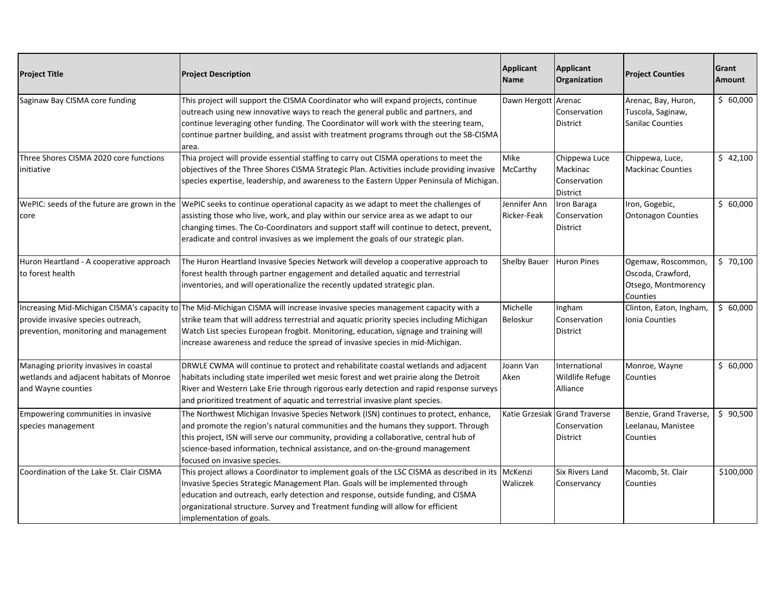| <b>Project Title</b>                                                                                                       | <b>Project Description</b>                                                                                                                                                                                                                                                                                                                                                            | Applicant<br><b>Name</b>    | Applicant<br>Organization                                 | <b>Project Counties</b>                                                    | Grant<br>Amount |
|----------------------------------------------------------------------------------------------------------------------------|---------------------------------------------------------------------------------------------------------------------------------------------------------------------------------------------------------------------------------------------------------------------------------------------------------------------------------------------------------------------------------------|-----------------------------|-----------------------------------------------------------|----------------------------------------------------------------------------|-----------------|
| Saginaw Bay CISMA core funding                                                                                             | This project will support the CISMA Coordinator who will expand projects, continue<br>outreach using new innovative ways to reach the general public and partners, and<br>continue leveraging other funding. The Coordinator will work with the steering team,<br>continue partner building, and assist with treatment programs through out the SB-CISMA<br>area.                     | Dawn Hergott Arenac         | Conservation<br>District                                  | Arenac, Bay, Huron,<br>Tuscola, Saginaw,<br><b>Sanilac Counties</b>        | \$60,000        |
| Three Shores CISMA 2020 core functions<br>initiative                                                                       | Thia project will provide essential staffing to carry out CISMA operations to meet the<br>objectives of the Three Shores CISMA Strategic Plan. Activities include providing invasive<br>species expertise, leadership, and awareness to the Eastern Upper Peninsula of Michigan.                                                                                                      | Mike<br>McCarthy            | Chippewa Luce<br>Mackinac<br>Conservation<br>District     | Chippewa, Luce,<br><b>Mackinac Counties</b>                                | \$42,100        |
| WePIC: seeds of the future are grown in the<br>core                                                                        | WePIC seeks to continue operational capacity as we adapt to meet the challenges of<br>assisting those who live, work, and play within our service area as we adapt to our<br>changing times. The Co-Coordinators and support staff will continue to detect, prevent,<br>eradicate and control invasives as we implement the goals of our strategic plan.                              | Jennifer Ann<br>Ricker-Feak | Iron Baraga<br>Conservation<br><b>District</b>            | Iron, Gogebic,<br><b>Ontonagon Counties</b>                                | \$60,000        |
| Huron Heartland - A cooperative approach<br>to forest health                                                               | The Huron Heartland Invasive Species Network will develop a cooperative approach to<br>forest health through partner engagement and detailed aquatic and terrestrial<br>inventories, and will operationalize the recently updated strategic plan.                                                                                                                                     | <b>Shelby Bauer</b>         | Huron Pines                                               | Ogemaw, Roscommon,<br>Oscoda, Crawford,<br>Otsego, Montmorency<br>Counties | \$70,100        |
| Increasing Mid-Michigan CISMA's capacity to<br>provide invasive species outreach,<br>prevention, monitoring and management | The Mid-Michigan CISMA will increase invasive species management capacity with a<br>strike team that will address terrestrial and aquatic priority species including Michigan<br>Watch List species European frogbit. Monitoring, education, signage and training will<br>increase awareness and reduce the spread of invasive species in mid-Michigan.                               | Michelle<br>Beloskur        | Ingham<br>Conservation<br>District                        | Clinton, Eaton, Ingham,<br>Ionia Counties                                  | \$60,000        |
| Managing priority invasives in coastal<br>wetlands and adjacent habitats of Monroe<br>and Wayne counties                   | DRWLE CWMA will continue to protect and rehabilitate coastal wetlands and adjacent<br>habitats including state imperiled wet mesic forest and wet prairie along the Detroit<br>River and Western Lake Erie through rigorous early detection and rapid response surveys<br>and prioritized treatment of aquatic and terrestrial invasive plant species.                                | Joann Van<br>Aken           | International<br><b>Wildlife Refuge</b><br>Alliance       | Monroe, Wayne<br>Counties                                                  | \$60,000        |
| Empowering communities in invasive<br>species management                                                                   | The Northwest Michigan Invasive Species Network (ISN) continues to protect, enhance,<br>and promote the region's natural communities and the humans they support. Through<br>this project, ISN will serve our community, providing a collaborative, central hub of<br>science-based information, technical assistance, and on-the-ground management<br>focused on invasive species.   |                             | Katie Grzesiak Grand Traverse<br>Conservation<br>District | Benzie, Grand Traverse,<br>Leelanau, Manistee<br>Counties                  | \$90,500        |
| Coordination of the Lake St. Clair CISMA                                                                                   | This project allows a Coordinator to implement goals of the LSC CISMA as described in its McKenzi<br>Invasive Species Strategic Management Plan. Goals will be implemented through<br>education and outreach, early detection and response, outside funding, and CISMA<br>organizational structure. Survey and Treatment funding will allow for efficient<br>implementation of goals. | Waliczek                    | <b>Six Rivers Land</b><br>Conservancy                     | Macomb, St. Clair<br>Counties                                              | \$100,000       |